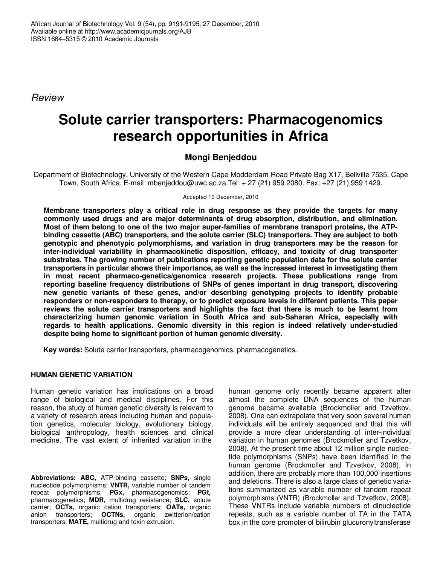Review

# **Solute carrier transporters: Pharmacogenomics research opportunities in Africa**

# **Mongi Benjeddou**

Department of Biotechnology, University of the Western Cape Modderdam Road Private Bag X17, Bellville 7535, Cape Town, South Africa. E-mail: mbenjeddou@uwc.ac.za.Tel: + 27 (21) 959 2080. Fax: +27 (21) 959 1429.

Accepted 10 December, 2010

**Membrane transporters play a critical role in drug response as they provide the targets for many commonly used drugs and are major determinants of drug absorption, distribution, and elimination. Most of them belong to one of the two major super-families of membrane transport proteins, the ATPbinding cassette (ABC) transporters, and the solute carrier (SLC) transporters. They are subject to both genotypic and phenotypic polymorphisms, and variation in drug transporters may be the reason for inter-individual variability in pharmacokinetic disposition, efficacy, and toxicity of drug transporter substrates. The growing number of publications reporting genetic population data for the solute carrier transporters in particular shows their importance, as well as the increased interest in investigating them in most recent pharmaco-genetics/genomics research projects. These publications range from reporting baseline frequency distributions of SNPs of genes important in drug transport, discovering new genetic variants of these genes, and/or describing genotyping projects to identify probable responders or non-responders to therapy, or to predict exposure levels in different patients. This paper reviews the solute carrier transporters and highlights the fact that there is much to be learnt from characterizing human genomic variation in South Africa and sub-Saharan Africa, especially with regards to health applications. Genomic diversity in this region is indeed relatively under-studied despite being home to significant portion of human genomic diversity.** 

**Key words:** Solute carrier transporters, pharmacogenomics, pharmacogenetics.

# **HUMAN GENETIC VARIATION**

Human genetic variation has implications on a broad range of biological and medical disciplines. For this reason, the study of human genetic diversity is relevant to a variety of research areas including human and population genetics, molecular biology, evolutionary biology, biological anthropology, health sciences and clinical medicine. The vast extent of inherited variation in the

**Abbreviations: ABC,** ATP-binding cassette; **SNPs,** single nucleotide polymorphisms; **VNTR,** variable number of tandem repeat polymorphisms; **PGx,** pharmacogenomics; **PGt,** pharmacogenetics; **MDR,** multidrug resistance; **SLC,** solute carrier; **OCTs,** organic cation transporters; **OATs,** organic anion transporters; **OCTNs,** organic zwitterion/cation transporters; **MATE,** multidrug and toxin extrusion.

human genome only recently became apparent after almost the complete DNA sequences of the human genome became available (Brockmoller and Tzvetkov, 2008). One can extrapolate that very soon several human individuals will be entirely sequenced and that this will provide a more clear understanding of inter-individual variation in human genomes (Brockmoller and Tzvetkov, 2008). At the present time about 12 million single nucleotide polymorphisms (SNPs) have been identified in the human genome (Brockmoller and Tzvetkov, 2008). In addition, there are probably more than 100,000 insertions and deletions. There is also a large class of genetic variations summarized as variable number of tandem repeat polymorphisms (VNTR) (Brockmoller and Tzvetkov, 2008). These VNTRs include variable numbers of dinucleotide repeats, such as a variable number of TA in the TATA box in the core promoter of bilirubin glucuronyltransferase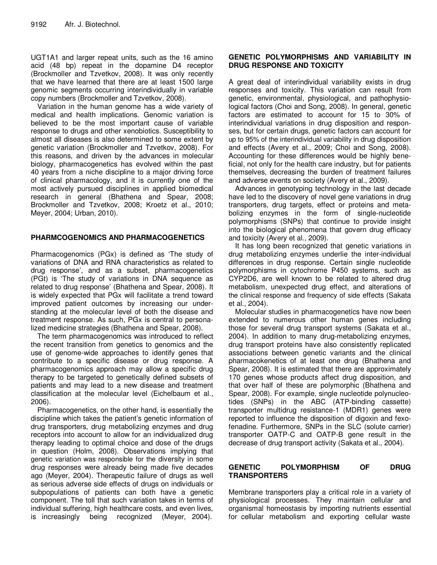UGT1A1 and larger repeat units, such as the 16 amino acid (48 bp) repeat in the dopamine D4 receptor (Brockmoller and Tzvetkov, 2008). It was only recently that we have learned that there are at least 1500 large genomic segments occurring interindividually in variable copy numbers (Brockmoller and Tzvetkov, 2008).

Variation in the human genome has a wide variety of medical and health implications. Genomic variation is believed to be the most important cause of variable response to drugs and other xenobiotics. Susceptibility to almost all diseases is also determined to some extent by genetic variation (Brockmoller and Tzvetkov, 2008). For this reasons, and driven by the advances in molecular biology, pharmacogenetics has evolved within the past 40 years from a niche discipline to a major driving force of clinical pharmacology, and it is currently one of the most actively pursued disciplines in applied biomedical research in general (Bhathena and Spear, 2008; Brockmoller and Tzvetkov, 2008; Kroetz et al., 2010; Meyer, 2004; Urban, 2010).

# **PHARMCOGENOMICS AND PHARMACOGENETICS**

Pharmacogenomics (PGx) is defined as 'The study of variations of DNA and RNA characteristics as related to drug response', and as a subset, pharmacogenetics (PGt) is 'The study of variations in DNA sequence as related to drug response' (Bhathena and Spear, 2008). It is widely expected that PGx will facilitate a trend toward improved patient outcomes by increasing our understanding at the molecular level of both the disease and treatment response. As such, PGx is central to personalized medicine strategies (Bhathena and Spear, 2008).

The term pharmacogenomics was introduced to reflect the recent transition from genetics to genomics and the use of genome-wide approaches to identify genes that contribute to a specific disease or drug response. A pharmacogenomics approach may allow a specific drug therapy to be targeted to genetically defined subsets of patients and may lead to a new disease and treatment classification at the molecular level (Eichelbaum et al., 2006).

Pharmacogenetics, on the other hand, is essentially the discipline which takes the patient's genetic information of drug transporters, drug metabolizing enzymes and drug receptors into account to allow for an individualized drug therapy leading to optimal choice and dose of the drugs in question (Holm, 2008). Observations implying that genetic variation was responsible for the diversity in some drug responses were already being made five decades ago (Meyer, 2004). Therapeutic failure of drugs as well as serious adverse side effects of drugs on individuals or subpopulations of patients can both have a genetic component. The toll that such variation takes in terms of individual suffering, high healthcare costs, and even lives, is increasingly being recognized (Meyer, 2004).

#### **GENETIC POLYMORPHISMS AND VARIABILITY IN DRUG RESPONSE AND TOXICITY**

A great deal of interindividual variability exists in drug responses and toxicity. This variation can result from genetic, environmental, physiological, and pathophysiological factors (Choi and Song, 2008). In general, genetic factors are estimated to account for 15 to 30% of interindividual variations in drug disposition and responses, but for certain drugs, genetic factors can account for up to 95% of the interindividual variability in drug disposition and effects (Avery et al., 2009; Choi and Song, 2008). Accounting for these differences would be highly beneficial, not only for the health care industry, but for patients themselves, decreasing the burden of treatment failures and adverse events on society (Avery et al., 2009).

Advances in genotyping technology in the last decade have led to the discovery of novel gene variations in drug transporters, drug targets, effect or proteins and metabolizing enzymes in the form of single-nucleotide polymorphisms (SNPs) that continue to provide insight into the biological phenomena that govern drug efficacy and toxicity (Avery et al., 2009).

It has long been recognized that genetic variations in drug metabolizing enzymes underlie the inter-individual differences in drug response. Certain single nucleotide polymorphisms in cytochrome P450 systems, such as CYP2D6, are well known to be related to altered drug metabolism, unexpected drug effect, and alterations of the clinical response and frequency of side effects (Sakata et al., 2004).

Molecular studies in pharmacogenetics have now been extended to numerous other human genes including those for several drug transport systems (Sakata et al., 2004). In addition to many drug-metabolizing enzymes, drug transport proteins have also consistently replicated associations between genetic variants and the clinical pharmacokenetics of at least one drug (Bhathena and Spear, 2008). It is estimated that there are approximately 170 genes whose products affect drug disposition, and that over half of these are polymorphic (Bhathena and Spear, 2008). For example, single nucleotide polynucleotides (SNPs) in the ABC (ATP-binding cassette) transporter multidrug resistance-1 (MDR1) genes were reported to influence the disposition of digoxin and fexofenadine. Furthermore, SNPs in the SLC (solute carrier) transporter OATP-C and OATP-B gene result in the decrease of drug transport activity (Sakata et al., 2004).

### **GENETIC POLYMORPHISM OF DRUG TRANSPORTERS**

Membrane transporters play a critical role in a variety of physiological processes. They maintain cellular and organismal homeostasis by importing nutrients essential for cellular metabolism and exporting cellular waste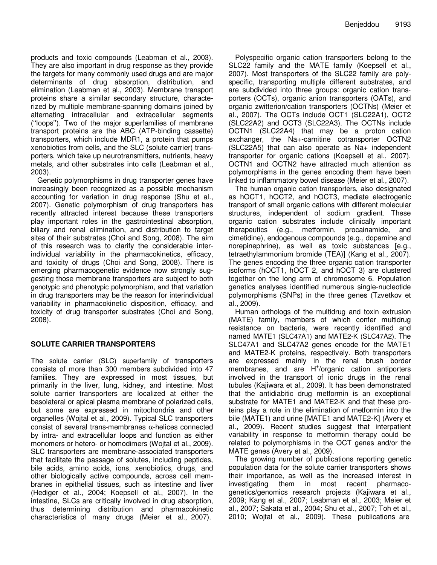products and toxic compounds (Leabman et al., 2003). They are also important in drug response as they provide the targets for many commonly used drugs and are major determinants of drug absorption, distribution, and elimination (Leabman et al., 2003). Membrane transport proteins share a similar secondary structure, characterized by multiple membrane-spanning domains joined by alternating intracellular and extracellular segments (''loops''). Two of the major superfamilies of membrane transport proteins are the ABC (ATP-binding cassette) transporters, which include MDR1, a protein that pumps xenobiotics from cells, and the SLC (solute carrier) transporters, which take up neurotransmitters, nutrients, heavy metals, and other substrates into cells (Leabman et al., 2003).

Genetic polymorphisms in drug transporter genes have increasingly been recognized as a possible mechanism accounting for variation in drug response (Shu et al., 2007). Genetic polymorphism of drug transporters has recently attracted interest because these transporters play important roles in the gastrointestinal absorption, biliary and renal elimination, and distribution to target sites of their substrates (Choi and Song, 2008). The aim of this research was to clarify the considerable interindividual variability in the pharmacokinetics, efficacy, and toxicity of drugs (Choi and Song, 2008). There is emerging pharmacogenetic evidence now strongly suggesting those membrane transporters are subject to both genotypic and phenotypic polymorphism, and that variation in drug transporters may be the reason for interindividual variability in pharmacokinetic disposition, efficacy, and toxicity of drug transporter substrates (Choi and Song, 2008).

# **SOLUTE CARRIER TRANSPORTERS**

The solute carrier (SLC) superfamily of transporters consists of more than 300 members subdivided into 47 families. They are expressed in most tissues, but primarily in the liver, lung, kidney, and intestine. Most solute carrier transporters are localized at either the basolateral or apical plasma membrane of polarized cells, but some are expressed in mitochondria and other organelles (Wojtal et al., 2009). Typical SLC transporters consist of several trans-membranes α-helices connected by intra- and extracellular loops and function as either monomers or hetero- or homodimers (Wojtal et al., 2009). SLC transporters are membrane-associated transporters that facilitate the passage of solutes, including peptides, bile acids, amino acids, ions, xenobiotics, drugs, and other biologically active compounds, across cell membranes in epithelial tissues, such as intestine and liver (Hediger et al., 2004; Koepsell et al., 2007). In the intestine, SLCs are critically involved in drug absorption, thus determining distribution and pharmacokinetic characteristics of many drugs (Meier et al., 2007).

Polyspecific organic cation transporters belong to the SLC22 family and the MATE family (Koepsell et al., 2007). Most transporters of the SLC22 family are polyspecific, transporting multiple different substrates, and are subdivided into three groups: organic cation transporters (OCTs), organic anion transporters (OATs), and organic zwitterion/cation transporters (OCTNs) (Meier et al., 2007). The OCTs include OCT1 (SLC22A1), OCT2 (SLC22A2) and OCT3 (SLC22A3). The OCTNs include OCTN1 (SLC22A4) that may be a proton cation exchanger, the Na+-carnitine cotransporter OCTN2 (SLC22A5) that can also operate as Na+ independent transporter for organic cations (Koepsell et al., 2007). OCTN1 and OCTN2 have attracted much attention as polymorphisms in the genes encoding them have been linked to inflammatory bowel disease (Meier et al., 2007).

The human organic cation transporters, also designated as hOCT1, hOCT2, and hOCT3, mediate electrogenic transport of small organic cations with different molecular structures, independent of sodium gradient. These organic cation substrates include clinically important therapeutics (e.g., metformin, procainamide, and cimetidine), endogenous compounds (e.g., dopamine and norepinephrine), as well as toxic substances [e.g., tetraethylammonium bromide (TEA)] (Kang et al., 2007). The genes encoding the three organic cation transporter isoforms (hOCT1, hOCT 2, and hOCT 3) are clustered together on the long arm of chromosome 6. Population genetics analyses identified numerous single-nucleotide polymorphisms (SNPs) in the three genes (Tzvetkov et al., 2009).

Human orthologs of the multidrug and toxin extrusion (MATE) family, members of which confer multidrug resistance on bacteria, were recently identified and named MATE1 (SLC47A1) and MATE2-K (SLC47A2). The SLC47A1 and SLC47A2 genes encode for the MATE1 and MATE2-K proteins, respectively. Both transporters are expressed mainly in the renal brush border membranes, and are H<sup>+</sup>/organic cation antiporters involved in the transport of ionic drugs in the renal tubules (Kajiwara et al., 2009). It has been demonstrated that the antidiabitic drug metformin is an exceptional substrate for MATE1 and MATE2-K and that these proteins play a role in the elimination of metformin into the bile (MATE1) and urine [MATE1 and MATE2-K] (Avery et al., 2009). Recent studies suggest that interpatient variability in response to metformin therapy could be related to polymorphisms in the OCT genes and/or the MATE genes (Avery et al., 2009).

The growing number of publications reporting genetic population data for the solute carrier transporters shows their importance, as well as the increased interest in investigating them in most recent pharmacogenetics/genomics research projects (Kajiwara et al., 2009; Kang et al., 2007; Leabman et al., 2003; Meier et al., 2007; Sakata et al., 2004; Shu et al., 2007; Toh et al., 2010; Wojtal et al., 2009). These publications are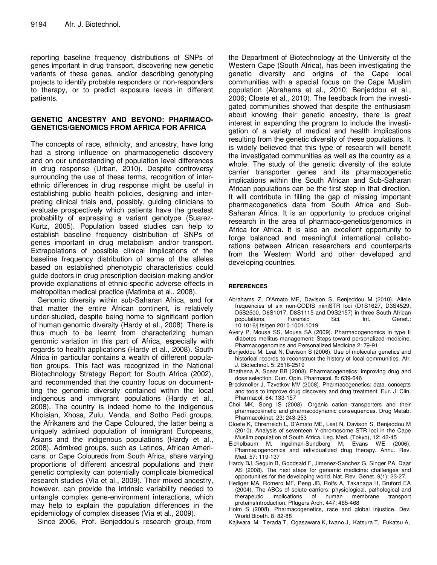reporting baseline frequency distributions of SNPs of genes important in drug transport, discovering new genetic variants of these genes, and/or describing genotyping projects to identify probable responders or non-responders to therapy, or to predict exposure levels in different patients.

### **GENETIC ANCESTRY AND BEYOND: PHARMACO-GENETICS/GENOMICS FROM AFRICA FOR AFRICA**

The concepts of race, ethnicity, and ancestry, have long had a strong influence on pharmacogenetic discovery and on our understanding of population level differences in drug response (Urban, 2010). Despite controversy surrounding the use of these terms, recognition of interethnic differences in drug response might be useful in establishing public health policies, designing and interpreting clinical trials and, possibly, guiding clinicians to evaluate prospectively which patients have the greatest probability of expressing a variant genotype (Suarez-Kurtz, 2005). Population based studies can help to establish baseline frequency distribution of SNPs of genes important in drug metabolism and/or transport. Extrapolations of possible clinical implications of the baseline frequency distribution of some of the alleles based on established phenotypic characteristics could guide doctors in drug prescription decision-making and/or provide explanations of ethnic-specific adverse effects in metropolitan medical practice (Matimba et al., 2008).

Genomic diversity within sub-Saharan Africa, and for that matter the entire African continent, is relatively under-studied, despite being home to significant portion of human genomic diversity (Hardy et al., 2008). There is thus much to be learnt from characterizing human genomic variation in this part of Africa, especially with regards to health applications (Hardy et al., 2008). South Africa in particular contains a wealth of different population groups. This fact was recognized in the National Biotechnology Strategy Report for South Africa (2002), and recommended that the country focus on documentting the genomic diversity contained within the local indigenous and immigrant populations (Hardy et al., 2008). The country is indeed home to the indigenous Khoisian, Xhosa, Zulu, Venda, and Sotho Pedi groups, the Afrikaners and the Cape Coloured, the latter being a uniquely admixed population of immigrant Europeans, Asians and the indigenous populations (Hardy et al., 2008). Admixed groups, such as Latinos, African Americans, or Cape Coloureds from South Africa, share varying proportions of different ancestral populations and their genetic complexity can potentially complicate biomedical research studies (Via et al., 2009). Their mixed ancestry, however, can provide the intrinsic variability needed to untangle complex gene-environment interactions, which may help to explain the population differences in the epidemiology of complex diseases (Via et al., 2009).

Since 2006, Prof. Benjeddou's research group, from

the Department of Biotechnology at the University of the Western Cape (South Africa), has been investigating the genetic diversity and origins of the Cape local communities with a special focus on the Cape Muslim population (Abrahams et al., 2010; Benjeddou et al., 2006; Cloete et al., 2010). The feedback from the investigated communities showed that despite the enthusiasm about knowing their genetic ancestry, there is great interest in expanding the program to include the investigation of a variety of medical and health implications resulting from the genetic diversity of these populations. It is widely believed that this type of research will benefit the investigated communities as well as the country as a whole. The study of the genetic diversity of the solute carrier transporter genes and its pharmacogenetic implications within the South African and Sub-Saharan African populations can be the first step in that direction. It will contribute in filling the gap of missing important pharmacogenetics data from South Africa and Sub-Saharan Africa. It is an opportunity to produce original research in the area of pharmaco-genetics/genomics in Africa for Africa. It is also an excellent opportunity to forge balanced and meaningful international collaborations between African researchers and counterparts from the Western World and other developed and developing countries.

#### **REFERENCES**

- Abrahams Z, D'Amato ME, Davison S, Benjeddou M (2010). Allele frequencies of six non-CODIS miniSTR loci (D1S1627, D3S4529, D5S2500, D6S1017, D8S1115 and D9S2157) in three South African populations. Forensic Sci. Int. Genet.: 10.1016/j.fsigen.2010.1001.1019
- Avery P, Mousa SS, Mousa SA (2009). Pharmacogenomics in type II diabetes mellitus management: Steps toward personalized medicine. Pharmacogenomics and Personalized Medicine 2: 79-91
- Benjeddou M, Leat N, Davison S (2006). Use of molecular genetics and historical records to reconstruct the history of local communities. Afr. J. Biotechnol. 5: 2516-2519
- Bhathena A, Spear BB (2008). Pharmacogenetics: improving drug and dose selection. Curr. Opin. Pharmacol. 8: 639-646
- Brockmoller J, Tzvetkov MV (2008). Pharmacogenetics: data, concepts and tools to improve drug discovery and drug treatment. Eur. J. Clin. Pharmacol. 64: 133-157
- Choi MK, Song IS (2008). Organic cation transporters and their pharmacokinetic and pharmacodynamic consequences. Drug Metab. Pharmacokinet. 23: 243-253
- Cloete K, Ehrenreich L, D'Amato ME, Leat N, Davison S, Benjeddou M (2010). Analysis of seventeen Y-chromosome STR loci in the Cape Muslim population of South Africa. Leg. Med. (Tokyo), 12: 42-45
- Eichelbaum M, Ingelman-Sundberg M, Evans WE (2006). Pharmacogenomics and individualized drug therapy. Annu. Rev. Med. 57: 119-137
- Hardy BJ, Seguin B, Goodsaid F, Jimenez-Sanchez G, Singer PA, Daar AS (2008). The next steps for genomic medicine: challenges and opportunities for the developing world. Nat. Rev. Genet. 9(1): 23-27.
- Hediger MA, Romero MF, Peng JB, Rolfs A, Takanaga H, Bruford EA (2004). The ABCs of solute carriers: physiological, pathological and therapeutic implications of human membrane transport proteinsIntroduction. Pflugers Arch. 447: 465-468
- Holm S (2008). Pharmacogenetics, race and global injustice. Dev. World Bioeth. 8: 82-88
- Kajiwara M, Terada T, Ogasawara K, Iwano J, Katsura T, Fukatsu A,